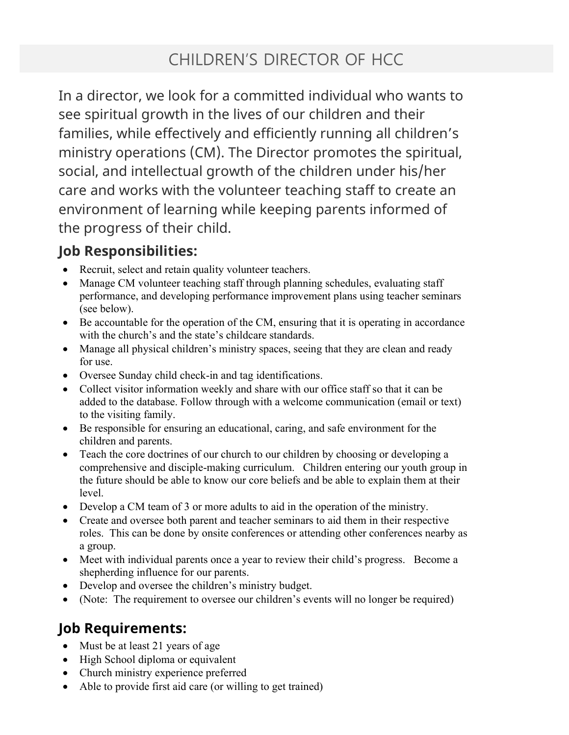## CHILDREN'S DIRECTOR OF HCC

In a director, we look for a committed individual who wants to see spiritual growth in the lives of our children and their families, while effectively and efficiently running all children's ministry operations (CM). The Director promotes the spiritual, social, and intellectual growth of the children under his/her care and works with the volunteer teaching staff to create an environment of learning while keeping parents informed of the progress of their child.

## Job Responsibilities:

- Recruit, select and retain quality volunteer teachers.
- Manage CM volunteer teaching staff through planning schedules, evaluating staff performance, and developing performance improvement plans using teacher seminars (see below).
- Be accountable for the operation of the CM, ensuring that it is operating in accordance with the church's and the state's childcare standards.
- Manage all physical children's ministry spaces, seeing that they are clean and ready for use.
- Oversee Sunday child check-in and tag identifications.
- Collect visitor information weekly and share with our office staff so that it can be added to the database. Follow through with a welcome communication (email or text) to the visiting family.
- Be responsible for ensuring an educational, caring, and safe environment for the children and parents.
- Teach the core doctrines of our church to our children by choosing or developing a comprehensive and disciple-making curriculum. Children entering our youth group in the future should be able to know our core beliefs and be able to explain them at their level.
- Develop a CM team of 3 or more adults to aid in the operation of the ministry.
- Create and oversee both parent and teacher seminars to aid them in their respective roles. This can be done by onsite conferences or attending other conferences nearby as a group.
- Meet with individual parents once a year to review their child's progress. Become a shepherding influence for our parents.
- Develop and oversee the children's ministry budget.
- (Note: The requirement to oversee our children's events will no longer be required)

## Job Requirements:

- Must be at least 21 years of age
- High School diploma or equivalent
- Church ministry experience preferred
- Able to provide first aid care (or willing to get trained)